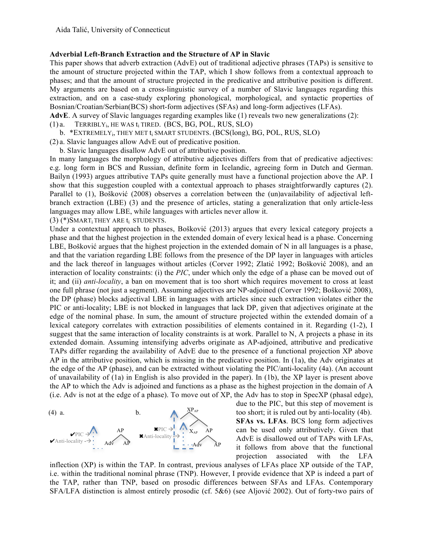## **Adverbial Left-Branch Extraction and the Structure of AP in Slavic**

This paper shows that adverb extraction (AdvE) out of traditional adjective phrases (TAPs) is sensitive to the amount of structure projected within the TAP, which I show follows from a contextual approach to phases; and that the amount of structure projected in the predicative and attributive position is different. My arguments are based on a cross-linguistic survey of a number of Slavic languages regarding this extraction, and on a case-study exploring phonological, morphological, and syntactic properties of Bosnian/Croatian/Serbian(BCS) short-form adjectives (SFAs) and long-form adjectives (LFAs).

**AdvE**. A survey of Slavic languages regarding examples like (1) reveals two new generalizations (2):

 $(1)$  a. TERRIBLY<sub>i</sub>, HE WAS  $t_i$  TIRED. (BCS, BG, POL, RUS, SLO)

b. \*EXTREMELY<sub>i</sub>, THEY MET t<sub>i</sub> SMART STUDENTS. (BCS(long), BG, POL, RUS, SLO)

(2) a. Slavic languages allow AdvE out of predicative position.

b. Slavic languages disallow AdvE out of attributive position.

In many languages the morphology of attributive adjectives differs from that of predicative adjectives: e.g. long form in BCS and Russian, definite form in Icelandic, agreeing form in Dutch and German. Bailyn (1993) argues attributive TAPs quite generally must have a functional projection above the AP. I show that this suggestion coupled with a contextual approach to phases straightforwardly captures (2). Parallel to (1), Bošković (2008) observes a correlation between the (un)availability of adjectival leftbranch extraction (LBE) (3) and the presence of articles, stating a generalization that only article-less languages may allow LBE, while languages with articles never allow it.

(3) (\*)SMARTi THEY ARE ti STUDENTS.

Under a contextual approach to phases, Bošković (2013) argues that every lexical category projects a phase and that the highest projection in the extended domain of every lexical head is a phase. Concerning LBE, Bošković argues that the highest projection in the extended domain of N in all languages is a phase, and that the variation regarding LBE follows from the presence of the DP layer in languages with articles and the lack thereof in languages without articles (Corver 1992; Zlatić 1992; Bošković 2008), and an interaction of locality constraints: (i) the *PIC*, under which only the edge of a phase can be moved out of it; and (ii) *anti-locality*, a ban on movement that is too short which requires movement to cross at least one full phrase (not just a segment). Assuming adjectives are NP-adjoined (Corver 1992; Bošković 2008), the DP (phase) blocks adjectival LBE in languages with articles since such extraction violates either the PIC or anti-locality; LBE is not blocked in languages that lack DP, given that adjectives originate at the edge of the nominal phase. In sum, the amount of structure projected within the extended domain of a lexical category correlates with extraction possibilities of elements contained in it. Regarding (1-2), I suggest that the same interaction of locality constraints is at work. Parallel to N, A projects a phase in its extended domain. Assuming intensifying adverbs originate as AP-adjoined, attributive and predicative TAPs differ regarding the availability of AdvE due to the presence of a functional projection XP above AP in the attributive position, which is missing in the predicative position. In (1a), the Adv originates at the edge of the AP (phase), and can be extracted without violating the PIC/anti-locality (4a). (An account of unavailability of (1a) in English is also provided in the paper). In (1b), the XP layer is present above the AP to which the Adv is adjoined and functions as a phase as the highest projection in the domain of A (i.e. Adv is not at the edge of a phase). To move out of XP, the Adv has to stop in SpecXP (phasal edge),



due to the PIC, but this step of movement is too short; it is ruled out by anti-locality (4b). **SFAs vs. LFAs**. BCS long form adjectives can be used only attributively. Given that AdvE is disallowed out of TAPs with LFAs, it follows from above that the functional projection associated with the LFA

inflection (XP) is within the TAP. In contrast, previous analyses of LFAs place XP outside of the TAP, i.e. within the traditional nominal phrase (TNP). However, I provide evidence that XP is indeed a part of the TAP, rather than TNP, based on prosodic differences between SFAs and LFAs. Contemporary SFA/LFA distinction is almost entirely prosodic (cf. 5&6) (see Aljović 2002). Out of forty-two pairs of